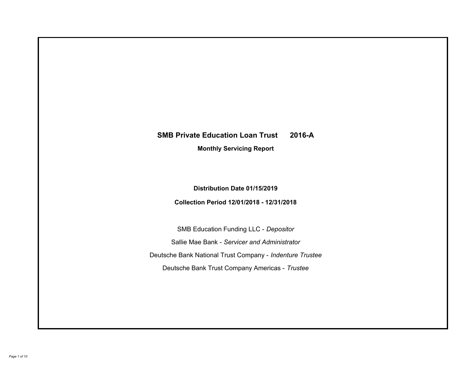# **SMB Private Education Loan Trust 2016-A Monthly Servicing Report**

# **Distribution Date 01/15/2019**

# **Collection Period 12/01/2018 - 12/31/2018**

SMB Education Funding LLC - *Depositor* Sallie Mae Bank - *Servicer and Administrator* Deutsche Bank National Trust Company - *Indenture Trustee* Deutsche Bank Trust Company Americas - *Trustee*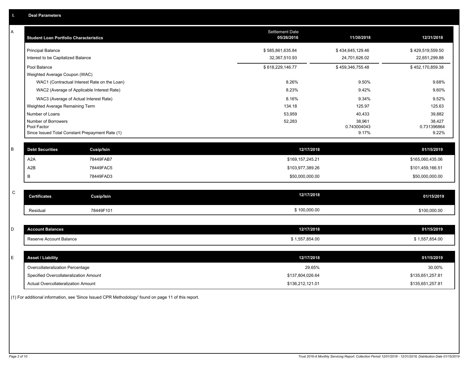| Α           | <b>Student Loan Portfolio Characteristics</b>                  | <b>Settlement Date</b><br>05/26/2016 | 11/30/2018           | 12/31/2018           |
|-------------|----------------------------------------------------------------|--------------------------------------|----------------------|----------------------|
|             | <b>Principal Balance</b>                                       | \$585,861,635.84                     | \$434,645,129.46     | \$429,519,559.50     |
|             | Interest to be Capitalized Balance                             | 32,367,510.93                        | 24,701,626.02        | 22,651,299.88        |
|             | Pool Balance                                                   | \$618,229,146.77                     | \$459,346,755.48     | \$452,170,859.38     |
|             | Weighted Average Coupon (WAC)                                  |                                      |                      |                      |
|             | WAC1 (Contractual Interest Rate on the Loan)                   | 8.26%                                | 9.50%                | 9.68%                |
|             | WAC2 (Average of Applicable Interest Rate)                     | 8.23%                                | 9.42%                | 9.60%                |
|             | WAC3 (Average of Actual Interest Rate)                         | 8.16%                                | 9.34%                | 9.52%                |
|             | Weighted Average Remaining Term                                | 134.18                               | 125.97               | 125.63               |
|             | Number of Loans                                                | 53,959                               | 40,433               | 39,882               |
|             | Number of Borrowers                                            | 52,283                               | 38,961               | 38,427               |
|             | Pool Factor<br>Since Issued Total Constant Prepayment Rate (1) |                                      | 0.743004043<br>9.17% | 0.731396864<br>9.22% |
|             |                                                                |                                      |                      |                      |
| B           | <b>Debt Securities</b><br>Cusip/Isin                           | 12/17/2018                           |                      | 01/15/2019           |
|             | A <sub>2</sub> A<br>78449FAB7                                  | \$169,157,245.21                     |                      | \$165,060,435.06     |
|             | A2B<br>78449FAC5                                               | \$103,977,389.26                     |                      | \$101,459,166.51     |
|             | 78449FAD3<br>B                                                 | \$50,000,000.00                      |                      | \$50,000,000.00      |
|             |                                                                |                                      |                      |                      |
| $\mathbf C$ | <b>Certificates</b><br><b>Cusip/Isin</b>                       | 12/17/2018                           |                      | 01/15/2019           |
|             | 78449F101<br>Residual                                          | \$100,000.00                         |                      | \$100,000.00         |
|             |                                                                |                                      |                      |                      |
| D           | <b>Account Balances</b>                                        | 12/17/2018                           |                      | 01/15/2019           |
|             | Reserve Account Balance                                        | \$1,557,854.00                       |                      | \$1,557,854.00       |
|             |                                                                |                                      |                      |                      |
| E           | <b>Asset / Liability</b>                                       | 12/17/2018                           |                      | 01/15/2019           |
|             | Overcollateralization Percentage                               | 29.65%                               |                      | 30.00%               |
|             | Specified Overcollateralization Amount                         | \$137,804,026.64                     |                      | \$135,651,257.81     |
|             | Actual Overcollateralization Amount                            | \$136,212,121.01                     |                      | \$135,651,257.81     |

(1) For additional information, see 'Since Issued CPR Methodology' found on page 11 of this report.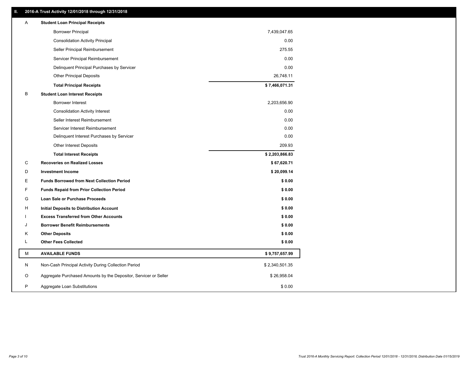# **II. 2016-A Trust Activity 12/01/2018 through 12/31/2018**

| Α | <b>Student Loan Principal Receipts</b>                           |                |
|---|------------------------------------------------------------------|----------------|
|   | <b>Borrower Principal</b>                                        | 7,439,047.65   |
|   | <b>Consolidation Activity Principal</b>                          | 0.00           |
|   | Seller Principal Reimbursement                                   | 275.55         |
|   | Servicer Principal Reimbursement                                 | 0.00           |
|   | Delinquent Principal Purchases by Servicer                       | 0.00           |
|   | <b>Other Principal Deposits</b>                                  | 26,748.11      |
|   | <b>Total Principal Receipts</b>                                  | \$7,466,071.31 |
| в | <b>Student Loan Interest Receipts</b>                            |                |
|   | <b>Borrower Interest</b>                                         | 2,203,656.90   |
|   | <b>Consolidation Activity Interest</b>                           | 0.00           |
|   | Seller Interest Reimbursement                                    | 0.00           |
|   | Servicer Interest Reimbursement                                  | 0.00           |
|   | Delinquent Interest Purchases by Servicer                        | 0.00           |
|   | Other Interest Deposits                                          | 209.93         |
|   | <b>Total Interest Receipts</b>                                   | \$2,203,866.83 |
| C | <b>Recoveries on Realized Losses</b>                             | \$67,620.71    |
| D | <b>Investment Income</b>                                         | \$20,099.14    |
| E | <b>Funds Borrowed from Next Collection Period</b>                | \$0.00         |
| F | <b>Funds Repaid from Prior Collection Period</b>                 | \$0.00         |
| G | Loan Sale or Purchase Proceeds                                   | \$0.00         |
| н | Initial Deposits to Distribution Account                         | \$0.00         |
|   | <b>Excess Transferred from Other Accounts</b>                    | \$0.00         |
| J | <b>Borrower Benefit Reimbursements</b>                           | \$0.00         |
| Κ | <b>Other Deposits</b>                                            | \$0.00         |
| L | <b>Other Fees Collected</b>                                      | \$0.00         |
| М | <b>AVAILABLE FUNDS</b>                                           | \$9,757,657.99 |
| N | Non-Cash Principal Activity During Collection Period             | \$2,340,501.35 |
| O | Aggregate Purchased Amounts by the Depositor, Servicer or Seller | \$26,958.04    |
| P | Aggregate Loan Substitutions                                     | \$0.00         |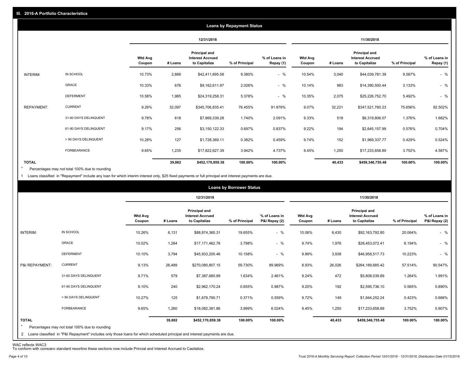|                   |                       |                          |            |                                                           | <b>Loans by Repayment Status</b> |                            |                          |         |                                                                  |                |                            |
|-------------------|-----------------------|--------------------------|------------|-----------------------------------------------------------|----------------------------------|----------------------------|--------------------------|---------|------------------------------------------------------------------|----------------|----------------------------|
|                   |                       |                          | 12/31/2018 |                                                           |                                  | 11/30/2018                 |                          |         |                                                                  |                |                            |
|                   |                       | <b>Wtd Avg</b><br>Coupon | # Loans    | Principal and<br><b>Interest Accrued</b><br>to Capitalize | % of Principal                   | % of Loans in<br>Repay (1) | <b>Wtd Avg</b><br>Coupon | # Loans | <b>Principal and</b><br><b>Interest Accrued</b><br>to Capitalize | % of Principal | % of Loans in<br>Repay (1) |
| INTERIM:          | IN SCHOOL             | 10.73%                   | 2,888      | \$42,411,695.58                                           | 9.380%                           | $-$ %                      | 10.54%                   | 3,040   | \$44,039,781.39                                                  | 9.587%         | $-$ %                      |
|                   | GRACE                 | 10.33%                   | 676        | \$9,162,611.97                                            | 2.026%                           | $-$ %                      | 10.14%                   | 983     | \$14,390,500.44                                                  | 3.133%         | $-$ %                      |
|                   | <b>DEFERMENT</b>      | 10.58%                   | 1,985      | \$24,319,258.31                                           | 5.378%                           | $-$ %                      | 10.35%                   | 2,075   | \$25,226,752.70                                                  | 5.492%         | $-$ %                      |
| <b>REPAYMENT:</b> | <b>CURRENT</b>        | 9.26%                    | 32,097     | \$345,706,835.41                                          | 76.455%                          | 91.876%                    | 9.07%                    | 32,221  | \$347,521,760.23                                                 | 75.656%        | 92.502%                    |
|                   | 31-60 DAYS DELINQUENT | 9.78%                    | 618        | \$7,869,339.28                                            | 1.740%                           | 2.091%                     | 9.33%                    | 518     | \$6,319,806.07                                                   | 1.376%         | 1.682%                     |
|                   | 61-90 DAYS DELINQUENT | 9.17%                    | 256        | \$3,150,122.33                                            | 0.697%                           | 0.837%                     | 9.22%                    | 194     | \$2,645,157.99                                                   | 0.576%         | 0.704%                     |
|                   | > 90 DAYS DELINQUENT  | 10.28%                   | 127        | \$1,728,369.11                                            | 0.382%                           | 0.459%                     | 9.74%                    | 152     | \$1,969,337.77                                                   | 0.429%         | 0.524%                     |
|                   | <b>FORBEARANCE</b>    | 9.65%                    | 1,235      | \$17,822,627.39                                           | 3.942%                           | 4.737%                     | 9.45%                    | 1,250   | \$17,233,658.89                                                  | 3.752%         | 4.587%                     |
| <b>TOTAL</b>      |                       |                          | 39,882     | \$452,170,859.38                                          | 100.00%                          | 100.00%                    |                          | 40,433  | \$459,346,755.48                                                 | 100.00%        | 100.00%                    |

Percentages may not total 100% due to rounding \*

1 Loans classified in "Repayment" include any loan for which interim interest only, \$25 fixed payments or full principal and interest payments are due.

|                                |                                                                                                                                                                              |                          |            |                                                           | <b>Loans by Borrower Status</b> |                                |                          |         |                                                                  |                |                                |
|--------------------------------|------------------------------------------------------------------------------------------------------------------------------------------------------------------------------|--------------------------|------------|-----------------------------------------------------------|---------------------------------|--------------------------------|--------------------------|---------|------------------------------------------------------------------|----------------|--------------------------------|
|                                |                                                                                                                                                                              |                          | 12/31/2018 |                                                           |                                 | 11/30/2018                     |                          |         |                                                                  |                |                                |
|                                |                                                                                                                                                                              | <b>Wtd Avg</b><br>Coupon | # Loans    | Principal and<br><b>Interest Accrued</b><br>to Capitalize | % of Principal                  | % of Loans in<br>P&I Repay (2) | <b>Wtd Avg</b><br>Coupon | # Loans | <b>Principal and</b><br><b>Interest Accrued</b><br>to Capitalize | % of Principal | % of Loans in<br>P&I Repay (2) |
| INTERIM:                       | IN SCHOOL                                                                                                                                                                    | 10.26%                   | 6,131      | \$88,874,365.31                                           | 19.655%                         | $-$ %                          | 10.06%                   | 6,430   | \$92,163,792.80                                                  | 20.064%        | $-$ %                          |
|                                | <b>GRACE</b>                                                                                                                                                                 | 10.02%                   | 1,264      | \$17,171,462.76                                           | 3.798%                          | $-$ %                          | 9.74%                    | 1,976   | \$28,453,072.41                                                  | 6.194%         | $-$ %                          |
|                                | <b>DEFERMENT</b>                                                                                                                                                             | 10.10%                   | 3,794      | \$45,933,200.46                                           | 10.158%                         | $-$ %                          | 9.89%                    | 3,938   | \$46,958,517.73                                                  | 10.223%        | $-$ %                          |
| P&I REPAYMENT:                 | <b>CURRENT</b>                                                                                                                                                               | 9.13%                    | 26,489     | \$270,080,807.15                                          | 59.730%                         | 89.969%                        | 8.93%                    | 26,026  | \$264,189,685.42                                                 | 57.514%        | 90.547%                        |
|                                | 31-60 DAYS DELINQUENT                                                                                                                                                        | 9.71%                    | 579        | \$7,387,680.89                                            | 1.634%                          | 2.461%                         | 9.24%                    | 472     | \$5,808,039.89                                                   | 1.264%         | 1.991%                         |
|                                | 61-90 DAYS DELINQUENT                                                                                                                                                        | 9.10%                    | 240        | \$2,962,170.24                                            | 0.655%                          | 0.987%                         | 9.20%                    | 192     | \$2,595,736.10                                                   | 0.565%         | 0.890%                         |
|                                | > 90 DAYS DELINQUENT                                                                                                                                                         | 10.27%                   | 125        | \$1,678,790.71                                            | 0.371%                          | 0.559%                         | 9.72%                    | 149     | \$1,944,252.24                                                   | 0.423%         | 0.666%                         |
|                                | FORBEARANCE                                                                                                                                                                  | 9.65%                    | 1,260      | \$18,082,381.86                                           | 3.999%                          | 6.024%                         | 9.45%                    | 1,250   | \$17,233,658.89                                                  | 3.752%         | 5.907%                         |
| <b>TOTAL</b><br>$\overline{2}$ | Percentages may not total 100% due to rounding<br>Loans classified in "P&I Repayment" includes only those loans for which scheduled principal and interest payments are due. |                          | 39,882     | \$452,170,859.38                                          | 100.00%                         | 100.00%                        |                          | 40,433  | \$459,346,755.48                                                 | 100.00%        | 100.00%                        |

WAC reflects WAC3 To conform with company standard reporting these sections now include Princial and Interest Accrued to Capitalize.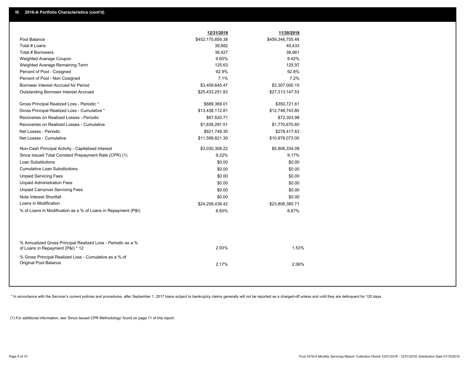|                                                                                                  | 12/31/2018       | 11/30/2018       |
|--------------------------------------------------------------------------------------------------|------------------|------------------|
| Pool Balance                                                                                     | \$452,170,859.38 | \$459,346,755.48 |
| Total # Loans                                                                                    | 39,882           | 40,433           |
| Total # Borrowers                                                                                | 38,427           | 38,961           |
| Weighted Average Coupon                                                                          | 9.60%            | 9.42%            |
| Weighted Average Remaining Term                                                                  | 125.63           | 125.97           |
| Percent of Pool - Cosigned                                                                       | 92.9%            | 92.8%            |
| Percent of Pool - Non Cosigned                                                                   | 7.1%             | 7.2%             |
| Borrower Interest Accrued for Period                                                             | \$3,409,645.47   | \$3,307,000.15   |
| <b>Outstanding Borrower Interest Accrued</b>                                                     | \$25,433,251.83  | \$27,313,147.53  |
| Gross Principal Realized Loss - Periodic *                                                       | \$689,369.01     | \$350,721.61     |
| Gross Principal Realized Loss - Cumulative *                                                     | \$13,438,112.81  | \$12,748,743.80  |
| Recoveries on Realized Losses - Periodic                                                         | \$67,620.71      | \$72,303.98      |
| Recoveries on Realized Losses - Cumulative                                                       | \$1,838,291.51   | \$1,770,670.80   |
| Net Losses - Periodic                                                                            | \$621,748.30     | \$278,417.63     |
| Net Losses - Cumulative                                                                          | \$11,599,821.30  | \$10,978,073.00  |
| Non-Cash Principal Activity - Capitalized Interest                                               | \$3,030,308.22   | \$5,806,334.09   |
| Since Issued Total Constant Prepayment Rate (CPR) (1)                                            | 9.22%            | 9.17%            |
| <b>Loan Substitutions</b>                                                                        | \$0.00           | \$0.00           |
| <b>Cumulative Loan Substitutions</b>                                                             | \$0.00           | \$0.00           |
| <b>Unpaid Servicing Fees</b>                                                                     | \$0.00           | \$0.00           |
| <b>Unpaid Administration Fees</b>                                                                | \$0.00           | \$0.00           |
| <b>Unpaid Carryover Servicing Fees</b>                                                           | \$0.00           | \$0.00           |
| Note Interest Shortfall                                                                          | \$0.00           | \$0.00           |
| Loans in Modification                                                                            | \$24,258,438.42  | \$23,806,385.71  |
| % of Loans in Modification as a % of Loans in Repayment (P&I)                                    | 8.60%            | 8.67%            |
|                                                                                                  |                  |                  |
| % Annualized Gross Principal Realized Loss - Periodic as a %<br>of Loans in Repayment (P&I) * 12 | 2.93%            | 1.53%            |
| % Gross Principal Realized Loss - Cumulative as a % of<br><b>Original Pool Balance</b>           | 2.17%            | 2.06%            |
|                                                                                                  |                  |                  |

\* In accordance with the Servicer's current policies and procedures, after September 1, 2017 loans subject to bankruptcy claims generally will not be reported as a charged-off unless and until they are delinquent for 120 d

(1) For additional information, see 'Since Issued CPR Methodology' found on page 11 of this report.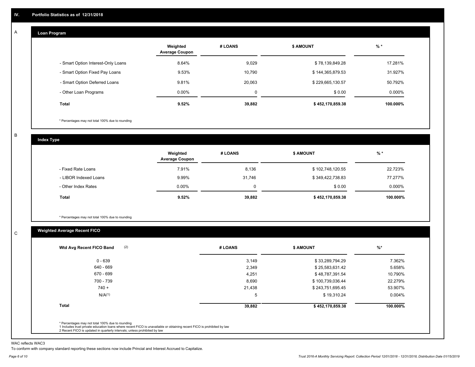#### **Loan Program**  A

|                                    | Weighted<br><b>Average Coupon</b> | # LOANS     | <b>\$ AMOUNT</b> | $%$ *    |
|------------------------------------|-----------------------------------|-------------|------------------|----------|
| - Smart Option Interest-Only Loans | 8.64%                             | 9,029       | \$78,139,849.28  | 17.281%  |
| - Smart Option Fixed Pay Loans     | 9.53%                             | 10,790      | \$144,365,879.53 | 31.927%  |
| - Smart Option Deferred Loans      | 9.81%                             | 20.063      | \$229,665,130.57 | 50.792%  |
| - Other Loan Programs              | $0.00\%$                          | $\mathbf 0$ | \$0.00           | 0.000%   |
| <b>Total</b>                       | 9.52%                             | 39,882      | \$452,170,859.38 | 100.000% |

\* Percentages may not total 100% due to rounding

B

C

**Index Type**

|                       | Weighted<br><b>Average Coupon</b> | # LOANS | \$ AMOUNT        | $%$ *     |
|-----------------------|-----------------------------------|---------|------------------|-----------|
| - Fixed Rate Loans    | 7.91%                             | 8,136   | \$102,748,120.55 | 22.723%   |
| - LIBOR Indexed Loans | 9.99%                             | 31.746  | \$349,422,738.83 | 77.277%   |
| - Other Index Rates   | $0.00\%$                          |         | \$0.00           | $0.000\%$ |
| Total                 | 9.52%                             | 39,882  | \$452,170,859.38 | 100.000%  |

\* Percentages may not total 100% due to rounding

# **Weighted Average Recent FICO**

| (2)<br>Wtd Avg Recent FICO Band | # LOANS | <b>\$ AMOUNT</b> | $\%$ *   |
|---------------------------------|---------|------------------|----------|
| $0 - 639$                       | 3,149   | \$33,289,794.29  | 7.362%   |
| 640 - 669                       | 2,349   | \$25,583,631.42  | 5.658%   |
| 670 - 699                       | 4,251   | \$48,787,391.54  | 10.790%  |
| 700 - 739                       | 8,690   | \$100,739,036.44 | 22.279%  |
| $740 +$                         | 21,438  | \$243,751,695.45 | 53.907%  |
| N/A <sup>(1)</sup>              | 5       | \$19,310.24      | 0.004%   |
| <b>Total</b>                    | 39,882  | \$452,170,859.38 | 100.000% |

WAC reflects WAC3

To conform with company standard reporting these sections now include Princial and Interest Accrued to Capitalize.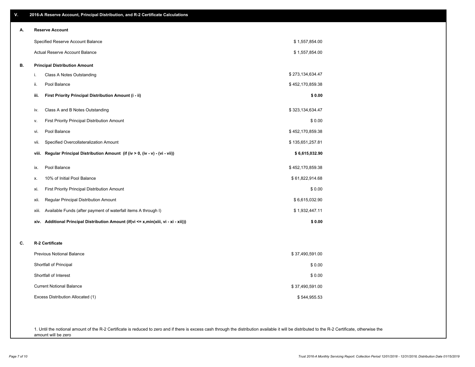| ۷. | 2016-A Reserve Account, Principal Distribution, and R-2 Certificate Calculations        |                  |  |
|----|-----------------------------------------------------------------------------------------|------------------|--|
| А. | <b>Reserve Account</b>                                                                  |                  |  |
|    | Specified Reserve Account Balance                                                       | \$1,557,854.00   |  |
|    | <b>Actual Reserve Account Balance</b>                                                   | \$1,557,854.00   |  |
| В. | <b>Principal Distribution Amount</b>                                                    |                  |  |
|    | Class A Notes Outstanding<br>i.                                                         | \$273,134,634.47 |  |
|    | Pool Balance<br>ii.                                                                     | \$452,170,859.38 |  |
|    | First Priority Principal Distribution Amount (i - ii)<br>iii.                           | \$0.00           |  |
|    | Class A and B Notes Outstanding<br>iv.                                                  | \$323,134,634.47 |  |
|    | First Priority Principal Distribution Amount<br>٧.                                      | \$0.00           |  |
|    | Pool Balance<br>vi.                                                                     | \$452,170,859.38 |  |
|    | Specified Overcollateralization Amount<br>vii.                                          | \$135,651,257.81 |  |
|    | Regular Principal Distribution Amount (if (iv > 0, (iv - v) - (vi - vii))<br>viii.      | \$6,615,032.90   |  |
|    | Pool Balance<br>ix.                                                                     | \$452,170,859.38 |  |
|    | 10% of Initial Pool Balance<br>х.                                                       | \$61,822,914.68  |  |
|    | First Priority Principal Distribution Amount<br>xi.                                     | \$0.00           |  |
|    | Regular Principal Distribution Amount<br>xii.                                           | \$6,615,032.90   |  |
|    | Available Funds (after payment of waterfall items A through I)<br>xiii.                 | \$1,932,447.11   |  |
|    | Additional Principal Distribution Amount (if(vi <= x,min(xiii, vi - xi - xii)))<br>xiv. | \$0.00           |  |
| C. | R-2 Certificate                                                                         |                  |  |
|    | <b>Previous Notional Balance</b>                                                        | \$37,490,591.00  |  |
|    | Shortfall of Principal                                                                  | \$0.00           |  |
|    | Shortfall of Interest                                                                   | \$0.00           |  |
|    | <b>Current Notional Balance</b>                                                         | \$37,490,591.00  |  |
|    | Excess Distribution Allocated (1)                                                       | \$544,955.53     |  |
|    |                                                                                         |                  |  |
|    |                                                                                         |                  |  |

1. Until the notional amount of the R-2 Certificate is reduced to zero and if there is excess cash through the distribution available it will be distributed to the R-2 Certificate, otherwise the amount will be zero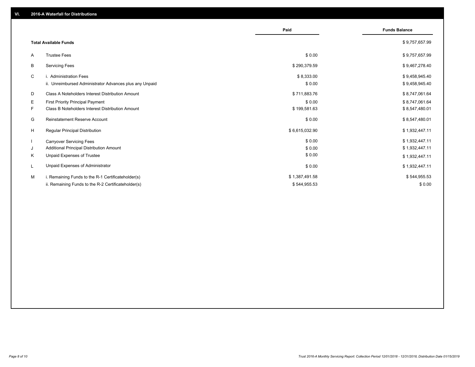|    |                                                         | Paid           | <b>Funds Balance</b> |
|----|---------------------------------------------------------|----------------|----------------------|
|    | <b>Total Available Funds</b>                            |                | \$9,757,657.99       |
| A  | <b>Trustee Fees</b>                                     | \$0.00         | \$9,757,657.99       |
| В  | <b>Servicing Fees</b>                                   | \$290,379.59   | \$9,467,278.40       |
| C  | i. Administration Fees                                  | \$8,333.00     | \$9,458,945.40       |
|    | ii. Unreimbursed Administrator Advances plus any Unpaid | \$0.00         | \$9,458,945.40       |
| D  | <b>Class A Noteholders Interest Distribution Amount</b> | \$711,883.76   | \$8,747,061.64       |
| Е  | First Priority Principal Payment                        | \$0.00         | \$8,747,061.64       |
| F. | <b>Class B Noteholders Interest Distribution Amount</b> | \$199,581.63   | \$8,547,480.01       |
| G  | <b>Reinstatement Reserve Account</b>                    | \$0.00         | \$8,547,480.01       |
| H  | Regular Principal Distribution                          | \$6,615,032.90 | \$1,932,447.11       |
|    | <b>Carryover Servicing Fees</b>                         | \$0.00         | \$1,932,447.11       |
| J  | Additional Principal Distribution Amount                | \$0.00         | \$1,932,447.11       |
| ĸ  | Unpaid Expenses of Trustee                              | \$0.00         | \$1,932,447.11       |
|    | Unpaid Expenses of Administrator                        | \$0.00         | \$1,932,447.11       |
| м  | i. Remaining Funds to the R-1 Certificateholder(s)      | \$1,387,491.58 | \$544,955.53         |
|    | ii. Remaining Funds to the R-2 Certificateholder(s)     | \$544,955.53   | \$0.00               |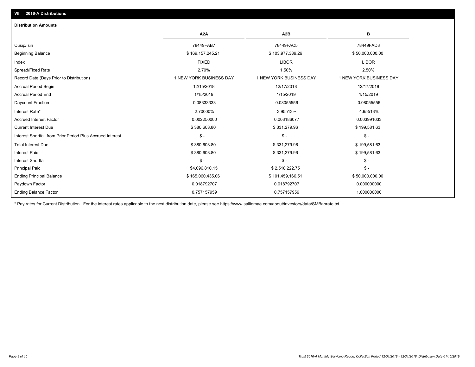| <b>Distribution Amounts</b>                                |                         |                         |                         |
|------------------------------------------------------------|-------------------------|-------------------------|-------------------------|
|                                                            | A <sub>2</sub> A        | A <sub>2</sub> B        | в                       |
| Cusip/Isin                                                 | 78449FAB7               | 78449FAC5               | 78449FAD3               |
| <b>Beginning Balance</b>                                   | \$169,157,245.21        | \$103,977,389.26        | \$50,000,000.00         |
| Index                                                      | <b>FIXED</b>            | <b>LIBOR</b>            | <b>LIBOR</b>            |
| Spread/Fixed Rate                                          | 2.70%                   | 1.50%                   | 2.50%                   |
| Record Date (Days Prior to Distribution)                   | 1 NEW YORK BUSINESS DAY | 1 NEW YORK BUSINESS DAY | 1 NEW YORK BUSINESS DAY |
| <b>Accrual Period Begin</b>                                | 12/15/2018              | 12/17/2018              | 12/17/2018              |
| <b>Accrual Period End</b>                                  | 1/15/2019               | 1/15/2019               | 1/15/2019               |
| Daycount Fraction                                          | 0.08333333              | 0.08055556              | 0.08055556              |
| Interest Rate*                                             | 2.70000%                | 3.95513%                | 4.95513%                |
| <b>Accrued Interest Factor</b>                             | 0.002250000             | 0.003186077             | 0.003991633             |
| <b>Current Interest Due</b>                                | \$380,603.80            | \$331,279.96            | \$199,581.63            |
| Interest Shortfall from Prior Period Plus Accrued Interest | $$ -$                   | $\mathcal{S}$ -         | $\mathcal{S}$ -         |
| <b>Total Interest Due</b>                                  | \$380,603.80            | \$331,279.96            | \$199,581.63            |
| <b>Interest Paid</b>                                       | \$380,603.80            | \$331,279.96            | \$199,581.63            |
| <b>Interest Shortfall</b>                                  | $$ -$                   | $\mathsf{\$}$ -         | $\mathsf{\$}$ -         |
| <b>Principal Paid</b>                                      | \$4,096,810.15          | \$2,518,222.75          | $\mathsf{\$}$ -         |
| <b>Ending Principal Balance</b>                            | \$165,060,435.06        | \$101,459,166.51        | \$50,000,000.00         |
| Paydown Factor                                             | 0.018792707             | 0.018792707             | 0.000000000             |
| <b>Ending Balance Factor</b>                               | 0.757157959             | 0.757157959             | 1.000000000             |

\* Pay rates for Current Distribution. For the interest rates applicable to the next distribution date, please see https://www.salliemae.com/about/investors/data/SMBabrate.txt.

**VII. 2016-A Distributions**